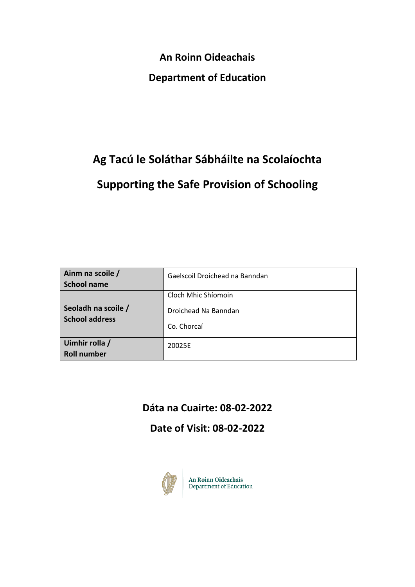**An Roinn Oideachais**

### **Department of Education**

# **Ag Tacú le Soláthar Sábháilte na Scolaíochta Supporting the Safe Provision of Schooling**

| Ainm na scoile /<br><b>School name</b>       | Gaelscoil Droichead na Banndan                             |
|----------------------------------------------|------------------------------------------------------------|
| Seoladh na scoile /<br><b>School address</b> | Cloch Mhic Shíomoin<br>Droichead Na Banndan<br>Co. Chorcaí |
| Uimhir rolla /<br><b>Roll number</b>         | 20025E                                                     |

## **Dáta na Cuairte: 08-02-2022**

**Date of Visit: 08-02-2022**



An Roinn Oideachais<br>Department of Education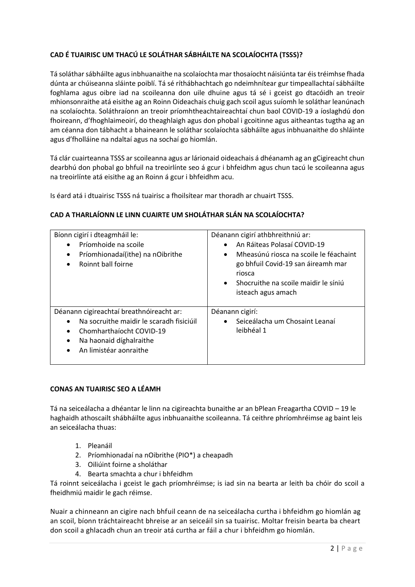#### **CAD É TUAIRISC UM THACÚ LE SOLÁTHAR SÁBHÁILTE NA SCOLAÍOCHTA (TSSS)?**

Tá soláthar sábháilte agus inbhuanaithe na scolaíochta mar thosaíocht náisiúnta tar éis tréimhse fhada dúnta ar chúiseanna sláinte poiblí. Tá sé ríthábhachtach go ndeimhnítear gur timpeallachtaí sábháilte foghlama agus oibre iad na scoileanna don uile dhuine agus tá sé i gceist go dtacóidh an treoir mhionsonraithe atá eisithe ag an Roinn Oideachais chuig gach scoil agus suíomh le soláthar leanúnach na scolaíochta. Soláthraíonn an treoir príomhtheachtaireachtaí chun baol COVID-19 a íoslaghdú don fhoireann, d'fhoghlaimeoirí, do theaghlaigh agus don phobal i gcoitinne agus aitheantas tugtha ag an am céanna don tábhacht a bhaineann le soláthar scolaíochta sábháilte agus inbhuanaithe do shláinte agus d'fholláine na ndaltaí agus na sochaí go hiomlán.

Tá clár cuairteanna TSSS ar scoileanna agus ar lárionaid oideachais á dhéanamh ag an gCigireacht chun dearbhú don phobal go bhfuil na treoirlínte seo á gcur i bhfeidhm agus chun tacú le scoileanna agus na treoirlínte atá eisithe ag an Roinn á gcur i bhfeidhm acu.

Is éard atá i dtuairisc TSSS ná tuairisc a fhoilsítear mar thoradh ar chuairt TSSS.

#### **CAD A THARLAÍONN LE LINN CUAIRTE UM SHOLÁTHAR SLÁN NA SCOLAÍOCHTA?**

| Bíonn cigirí i dteagmháil le:<br>Príomhoide na scoile<br>$\bullet$<br>Príomhionadaí(ithe) na nOibrithe<br>٠<br>Roinnt ball foirne<br>٠                                                                       | Déanann cigirí athbhreithniú ar:<br>An Ráiteas Polasaí COVID-19<br>$\bullet$<br>Mheasúnú riosca na scoile le féachaint<br>$\bullet$<br>go bhfuil Covid-19 san áireamh mar<br>riosca<br>Shocruithe na scoile maidir le síniú<br>$\bullet$<br>isteach agus amach |
|--------------------------------------------------------------------------------------------------------------------------------------------------------------------------------------------------------------|----------------------------------------------------------------------------------------------------------------------------------------------------------------------------------------------------------------------------------------------------------------|
| Déanann cigireachtaí breathnóireacht ar:<br>Na socruithe maidir le scaradh fisiciúil<br>Chomharthaíocht COVID-19<br>$\bullet$<br>Na haonaid díghalraithe<br>$\bullet$<br>An limistéar aonraithe<br>$\bullet$ | Déanann cigirí:<br>Seiceálacha um Chosaint Leanaí<br>$\bullet$<br>leibhéal 1                                                                                                                                                                                   |

#### **CONAS AN TUAIRISC SEO A LÉAMH**

Tá na seiceálacha a dhéantar le linn na cigireachta bunaithe ar an bPlean Freagartha COVID – 19 le haghaidh athoscailt shábháilte agus inbhuanaithe scoileanna. Tá ceithre phríomhréimse ag baint leis an seiceálacha thuas:

- 1. Pleanáil
- 2. Príomhionadaí na nOibrithe (PIO\*) a cheapadh
- 3. Oiliúint foirne a sholáthar
- 4. Bearta smachta a chur i bhfeidhm

Tá roinnt seiceálacha i gceist le gach príomhréimse; is iad sin na bearta ar leith ba chóir do scoil a fheidhmiú maidir le gach réimse.

Nuair a chinneann an cigire nach bhfuil ceann de na seiceálacha curtha i bhfeidhm go hiomlán ag an scoil, bíonn tráchtaireacht bhreise ar an seiceáil sin sa tuairisc. Moltar freisin bearta ba cheart don scoil a ghlacadh chun an treoir atá curtha ar fáil a chur i bhfeidhm go hiomlán.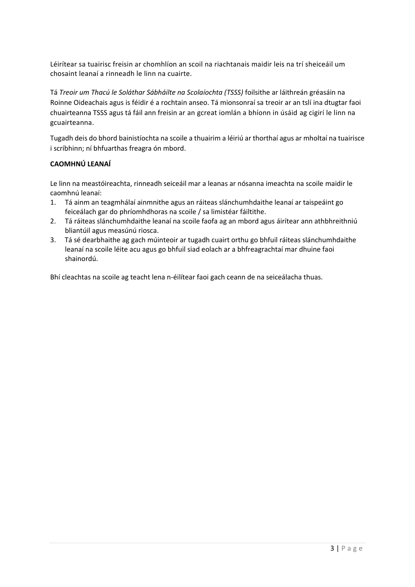Léirítear sa tuairisc freisin ar chomhlíon an scoil na riachtanais maidir leis na trí sheiceáil um chosaint leanaí a rinneadh le linn na cuairte.

Tá *Treoir um Thacú le Soláthar Sábháilte na Scolaíochta (TSSS)* foilsithe ar láithreán gréasáin na Roinne Oideachais agus is féidir é a rochtain anseo. Tá mionsonraí sa treoir ar an tslí ina dtugtar faoi chuairteanna TSSS agus tá fáil ann freisin ar an gcreat iomlán a bhíonn in úsáid ag cigirí le linn na gcuairteanna.

Tugadh deis do bhord bainistíochta na scoile a thuairim a léiriú ar thorthaí agus ar mholtaí na tuairisce i scríbhinn; ní bhfuarthas freagra ón mbord.

#### **CAOMHNÚ LEANAÍ**

Le linn na meastóireachta, rinneadh seiceáil mar a leanas ar nósanna imeachta na scoile maidir le caomhnú leanaí:

- 1. Tá ainm an teagmhálaí ainmnithe agus an ráiteas slánchumhdaithe leanaí ar taispeáint go feiceálach gar do phríomhdhoras na scoile / sa limistéar fáiltithe.
- 2. Tá ráiteas slánchumhdaithe leanaí na scoile faofa ag an mbord agus áirítear ann athbhreithniú bliantúil agus measúnú riosca.
- 3. Tá sé dearbhaithe ag gach múinteoir ar tugadh cuairt orthu go bhfuil ráiteas slánchumhdaithe leanaí na scoile léite acu agus go bhfuil siad eolach ar a bhfreagrachtaí mar dhuine faoi shainordú.

Bhí cleachtas na scoile ag teacht lena n-éilítear faoi gach ceann de na seiceálacha thuas.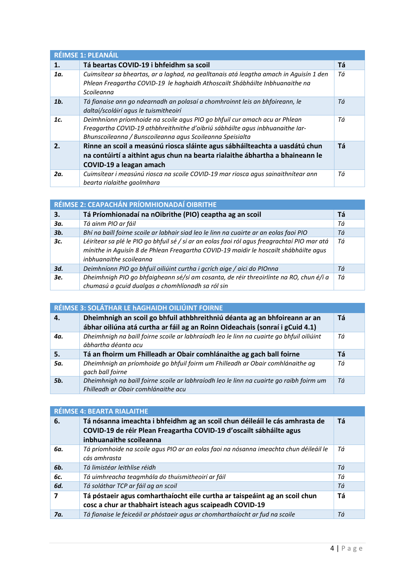| RÉIMSE 1: PLEANÁIL |                                                                                                                                                                                                                          |    |
|--------------------|--------------------------------------------------------------------------------------------------------------------------------------------------------------------------------------------------------------------------|----|
| 1.                 | Tá beartas COVID-19 i bhfeidhm sa scoil                                                                                                                                                                                  | Tá |
| 1a.                | Cuimsítear sa bheartas, ar a laghad, na gealltanais atá leagtha amach in Aguisín 1 den<br>Phlean Freagartha COVID-19 le haghaidh Athoscailt Shábháilte Inbhuanaithe na<br>Scoileanna                                     | Τá |
| 1 <sub>b</sub>     | Tá fianaise ann go ndearnadh an polasaí a chomhroinnt leis an bhfoireann, le<br>daltaí/scoláirí agus le tuismitheoirí                                                                                                    | Τá |
| 1c.                | Deimhníonn príomhoide na scoile agus PIO go bhfuil cur amach acu ar Phlean<br>Freagartha COVID-19 athbhreithnithe d'oibriú sábháilte agus inbhuanaithe Iar-<br>Bhunscoileanna / Bunscoileanna agus Scoileanna Speisialta | Τá |
| $\mathbf{2}$ .     | Rinne an scoil a measúnú riosca sláinte agus sábháilteachta a uasdátú chun<br>na contúirtí a aithint agus chun na bearta rialaithe ábhartha a bhaineann le<br>COVID-19 a leagan amach                                    | Tá |
| 2a.                | Cuimsítear i measúnú riosca na scoile COVID-19 mar riosca agus sainaithnítear ann<br>bearta rialaithe gaolmhara                                                                                                          | Τá |

| RÉIMSE 2: CEAPACHÁN PRÍOMHIONADAÍ OIBRITHE |                                                                                                                                                                                                                  |    |
|--------------------------------------------|------------------------------------------------------------------------------------------------------------------------------------------------------------------------------------------------------------------|----|
| 3.                                         | Tá Príomhionadaí na nOibrithe (PIO) ceaptha ag an scoil                                                                                                                                                          | Tá |
| 3а.                                        | Tá ainm PIO ar fáil                                                                                                                                                                                              | Τá |
| 3 <sub>b</sub>                             | Bhí na baill foirne scoile ar labhair siad leo le linn na cuairte ar an eolas faoi PIO                                                                                                                           | Τá |
| 3с.                                        | Léirítear sa plé le PIO go bhfuil sé / sí ar an eolas faoi ról agus freagrachtaí PIO mar atá<br>mínithe in Aquisín 8 de Phlean Freagartha COVID-19 maidir le hoscailt shábháilte agus<br>inbhuanaithe scoileanna | Τá |
| 3d.                                        | Deimhníonn PIO go bhfuil oiliúint curtha i gcrích aige / aici do PIOnna                                                                                                                                          | Τá |
| 3е.                                        | Dheimhnigh PIO go bhfaigheann sé/sí am cosanta, de réir threoirlínte na RO, chun é/í a<br>chumasú a gcuid dualgas a chomhlíonadh sa ról sin                                                                      | Τá |

| RÉIMSE 3: SOLÁTHAR LE hAGHAIDH OILIÚINT FOIRNE |                                                                                                                                                           |    |
|------------------------------------------------|-----------------------------------------------------------------------------------------------------------------------------------------------------------|----|
| 4.                                             | Dheimhnigh an scoil go bhfuil athbhreithniú déanta ag an bhfoireann ar an<br>ábhar oiliúna atá curtha ar fáil ag an Roinn Oideachais (sonraí i gCuid 4.1) | Τá |
| 4a.                                            | Dheimhnigh na baill foirne scoile ar labhraíodh leo le linn na cuairte go bhfuil oiliúint<br>ábhartha déanta acu                                          | Τá |
|                                                |                                                                                                                                                           |    |
| 5.                                             | Tá an fhoirm um Fhilleadh ar Obair comhlánaithe ag gach ball foirne                                                                                       | Tá |
| 5a.                                            | Dheimhnigh an príomhoide go bhfuil foirm um Fhilleadh ar Obair comhlánaithe ag<br>gach ball foirne                                                        | Τá |

| <b>RÉIMSE 4: BEARTA RIALAITHE</b> |                                                                                                                                                                               |    |
|-----------------------------------|-------------------------------------------------------------------------------------------------------------------------------------------------------------------------------|----|
| 6.                                | Tá nósanna imeachta i bhfeidhm ag an scoil chun déileáil le cás amhrasta de<br>COVID-19 de réir Plean Freagartha COVID-19 d'oscailt sábháilte agus<br>inbhuanaithe scoileanna | Tá |
| 6a.                               | Tá príomhoide na scoile agus PIO ar an eolas faoi na nósanna imeachta chun déileáil le<br>cás amhrasta                                                                        | Τá |
| 6 <b>b</b> .                      | Tá limistéar leithlise réidh                                                                                                                                                  | Τá |
| 6с.                               | Tá uimhreacha teagmhála do thuismitheoirí ar fáil                                                                                                                             | Τá |
| 6d.                               | Tá soláthar TCP ar fáil ag an scoil                                                                                                                                           | Τá |
|                                   | Tá póstaeir agus comharthaíocht eile curtha ar taispeáint ag an scoil chun<br>cosc a chur ar thabhairt isteach agus scaipeadh COVID-19                                        | Tá |
| 7a.                               | Tá fianaise le feiceáil ar phóstaeir agus ar chomharthaíocht ar fud na scoile                                                                                                 | Τá |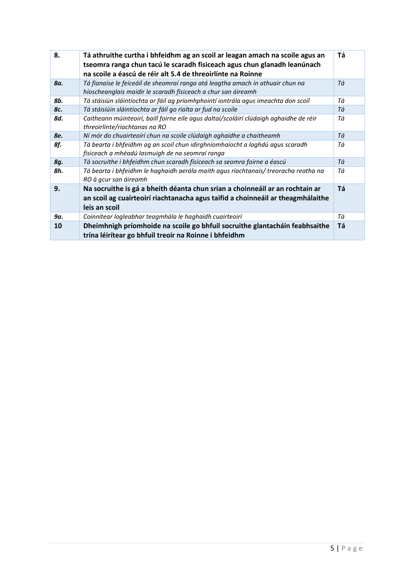| 8.  | Tá athruithe curtha i bhfeidhm ag an scoil ar leagan amach na scoile agus an<br>tseomra ranga chun tacú le scaradh fisiceach agus chun glanadh leanúnach<br>na scoile a éascú de réir alt 5.4 de threoirlínte na Roinne | Тá |
|-----|-------------------------------------------------------------------------------------------------------------------------------------------------------------------------------------------------------------------------|----|
| 8a. | Tá fianaise le feiceáil de sheomraí ranga atá leagtha amach in athuair chun na<br>híoscheanglais maidir le scaradh fisiceach a chur san áireamh                                                                         | Τá |
| 8b. | Tá stáisiún sláintíochta ar fáil ag príomhphointí iontrála agus imeachta don scoil                                                                                                                                      | Τá |
| 8c. | Tá stáisiúin sláintíochta ar fáil go rialta ar fud na scoile                                                                                                                                                            | Τá |
| 8d. | Caitheann múinteoirí, baill foirne eile agus daltaí/scoláirí clúdaigh aghaidhe de réir<br>threoirlínte/riachtanas na RO                                                                                                 | Τá |
| 8e. | Ní mór do chuairteoirí chun na scoile clúdaigh aghaidhe a chaitheamh                                                                                                                                                    | Τá |
| 8f. | Tá bearta i bhfeidhm ag an scoil chun idirghníomhaíocht a laghdú agus scaradh<br>fisiceach a mhéadú lasmuigh de na seomraí ranga                                                                                        | Τá |
| 8g. | Tá socruithe i bhfeidhm chun scaradh fisiceach sa seomra foirne a éascú                                                                                                                                                 | Τá |
| 8h. | Tá bearta i bhfeidhm le haghaidh aerála maith agus riachtanais/ treoracha reatha na<br>RO á gcur san áireamh                                                                                                            | Τá |
| 9.  | Na socruithe is gá a bheith déanta chun srian a choinneáil ar an rochtain ar<br>an scoil ag cuairteoirí riachtanacha agus taifid a choinneáil ar theagmhálaithe<br>leis an scoil                                        | Τá |
| 9a. | Coinnítear logleabhar teagmhála le haghaidh cuairteoirí                                                                                                                                                                 | Τá |
| 10  | Dheimhnigh príomhoide na scoile go bhfuil socruithe glantacháin feabhsaithe<br>trína léirítear go bhfuil treoir na Roinne i bhfeidhm                                                                                    | Τá |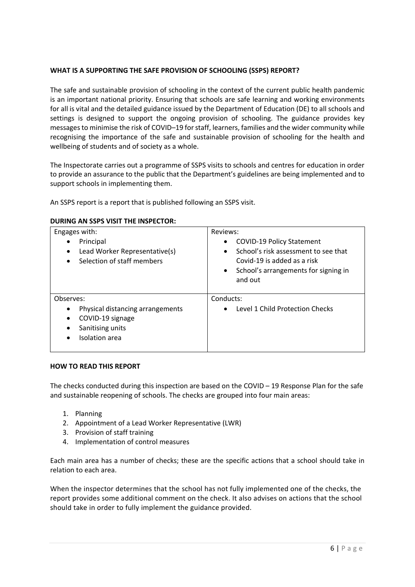#### **WHAT IS A SUPPORTING THE SAFE PROVISION OF SCHOOLING (SSPS) REPORT?**

The safe and sustainable provision of schooling in the context of the current public health pandemic is an important national priority. Ensuring that schools are safe learning and working environments for all is vital and the detailed guidance issued by the Department of Education (DE) to all schools and settings is designed to support the ongoing provision of schooling. The guidance provides key messages to minimise the risk of COVID–19 for staff, learners, families and the wider community while recognising the importance of the safe and sustainable provision of schooling for the health and wellbeing of students and of society as a whole.

The Inspectorate carries out a programme of SSPS visits to schools and centres for education in order to provide an assurance to the public that the Department's guidelines are being implemented and to support schools in implementing them.

An SSPS report is a report that is published following an SSPS visit.

#### **DURING AN SSPS VISIT THE INSPECTOR:**

| Engages with:<br>Principal<br>Lead Worker Representative(s)<br>Selection of staff members<br>$\bullet$               | Reviews:<br><b>COVID-19 Policy Statement</b><br>$\bullet$<br>School's risk assessment to see that<br>$\bullet$<br>Covid-19 is added as a risk<br>School's arrangements for signing in<br>$\bullet$<br>and out |
|----------------------------------------------------------------------------------------------------------------------|---------------------------------------------------------------------------------------------------------------------------------------------------------------------------------------------------------------|
| Observes:<br>Physical distancing arrangements<br>COVID-19 signage<br>Sanitising units<br>Isolation area<br>$\bullet$ | Conducts:<br>Level 1 Child Protection Checks                                                                                                                                                                  |

#### **HOW TO READ THIS REPORT**

The checks conducted during this inspection are based on the COVID – 19 Response Plan for the safe and sustainable reopening of schools. The checks are grouped into four main areas:

- 1. Planning
- 2. Appointment of a Lead Worker Representative (LWR)
- 3. Provision of staff training
- 4. Implementation of control measures

Each main area has a number of checks; these are the specific actions that a school should take in relation to each area.

When the inspector determines that the school has not fully implemented one of the checks, the report provides some additional comment on the check. It also advises on actions that the school should take in order to fully implement the guidance provided.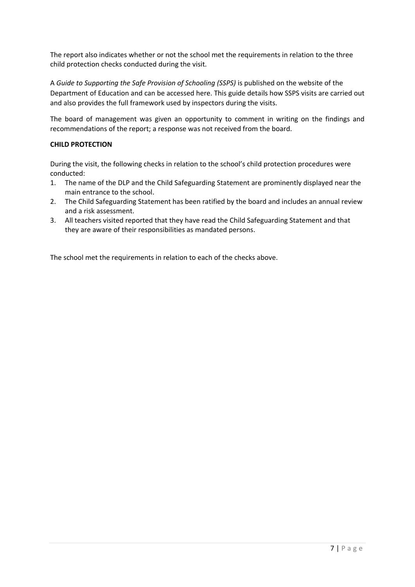The report also indicates whether or not the school met the requirements in relation to the three child protection checks conducted during the visit.

A *Guide to Supporting the Safe Provision of Schooling (SSPS)* is published on the website of the Department of Education and can be accessed here. This guide details how SSPS visits are carried out and also provides the full framework used by inspectors during the visits.

The board of management was given an opportunity to comment in writing on the findings and recommendations of the report; a response was not received from the board.

#### **CHILD PROTECTION**

During the visit, the following checks in relation to the school's child protection procedures were conducted:

- 1. The name of the DLP and the Child Safeguarding Statement are prominently displayed near the main entrance to the school.
- 2. The Child Safeguarding Statement has been ratified by the board and includes an annual review and a risk assessment.
- 3. All teachers visited reported that they have read the Child Safeguarding Statement and that they are aware of their responsibilities as mandated persons.

The school met the requirements in relation to each of the checks above.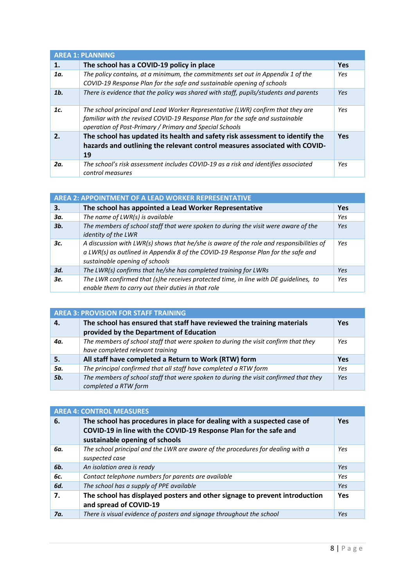| <b>AREA 1: PLANNING</b> |                                                                                                                                                                                                                             |            |
|-------------------------|-----------------------------------------------------------------------------------------------------------------------------------------------------------------------------------------------------------------------------|------------|
| 1.                      | The school has a COVID-19 policy in place                                                                                                                                                                                   | <b>Yes</b> |
| 1a.                     | The policy contains, at a minimum, the commitments set out in Appendix 1 of the<br>COVID-19 Response Plan for the safe and sustainable opening of schools                                                                   | Yes        |
| 1 <sub>b</sub>          | There is evidence that the policy was shared with staff, pupils/students and parents                                                                                                                                        | Yes        |
| 1c.                     | The school principal and Lead Worker Representative (LWR) confirm that they are<br>familiar with the revised COVID-19 Response Plan for the safe and sustainable<br>operation of Post-Primary / Primary and Special Schools | Yes.       |
| 2.                      | The school has updated its health and safety risk assessment to identify the<br>hazards and outlining the relevant control measures associated with COVID-<br>19                                                            | Yes        |
| 2a.                     | The school's risk assessment includes COVID-19 as a risk and identifies associated<br>control measures                                                                                                                      | Yes        |

| <b>AREA 2: APPOINTMENT OF A LEAD WORKER REPRESENTATIVE</b> |                                                                                                                                                                                                                |     |
|------------------------------------------------------------|----------------------------------------------------------------------------------------------------------------------------------------------------------------------------------------------------------------|-----|
| 3.                                                         | The school has appointed a Lead Worker Representative                                                                                                                                                          | Yes |
| Зα.                                                        | The name of LWR(s) is available                                                                                                                                                                                | Yes |
| 3b.                                                        | The members of school staff that were spoken to during the visit were aware of the<br>identity of the LWR                                                                                                      | Yes |
| 3с.                                                        | A discussion with LWR(s) shows that he/she is aware of the role and responsibilities of<br>a LWR(s) as outlined in Appendix 8 of the COVID-19 Response Plan for the safe and<br>sustainable opening of schools | Yes |
| 3d.                                                        | The LWR(s) confirms that he/she has completed training for LWRs                                                                                                                                                | Yes |
| 3е.                                                        | The LWR confirmed that (s)he receives protected time, in line with DE guidelines, to<br>enable them to carry out their duties in that role                                                                     | Yes |

| <b>AREA 3: PROVISION FOR STAFF TRAINING</b> |                                                                                      |     |
|---------------------------------------------|--------------------------------------------------------------------------------------|-----|
| 4.                                          | The school has ensured that staff have reviewed the training materials               | Yes |
|                                             | provided by the Department of Education                                              |     |
| 4a.                                         | The members of school staff that were spoken to during the visit confirm that they   | Yes |
|                                             | have completed relevant training                                                     |     |
| 5.                                          | All staff have completed a Return to Work (RTW) form                                 | Yes |
| 5a.                                         | The principal confirmed that all staff have completed a RTW form                     | Yes |
| 5b.                                         | The members of school staff that were spoken to during the visit confirmed that they | Yes |
|                                             | completed a RTW form                                                                 |     |

| <b>AREA 4: CONTROL MEASURES</b> |                                                                                                                                                                                |     |
|---------------------------------|--------------------------------------------------------------------------------------------------------------------------------------------------------------------------------|-----|
| 6.                              | The school has procedures in place for dealing with a suspected case of<br>COVID-19 in line with the COVID-19 Response Plan for the safe and<br>sustainable opening of schools | Yes |
| 6a.                             | The school principal and the LWR are aware of the procedures for dealing with a<br>suspected case                                                                              | Yes |
| 6 <b>b</b> .                    | An isolation area is ready                                                                                                                                                     | Yes |
| 6с.                             | Contact telephone numbers for parents are available                                                                                                                            | Yes |
| 6d.                             | The school has a supply of PPE available                                                                                                                                       | Yes |
| 7.                              | The school has displayed posters and other signage to prevent introduction<br>and spread of COVID-19                                                                           | Yes |
| 7a.                             | There is visual evidence of posters and signage throughout the school                                                                                                          | Yes |